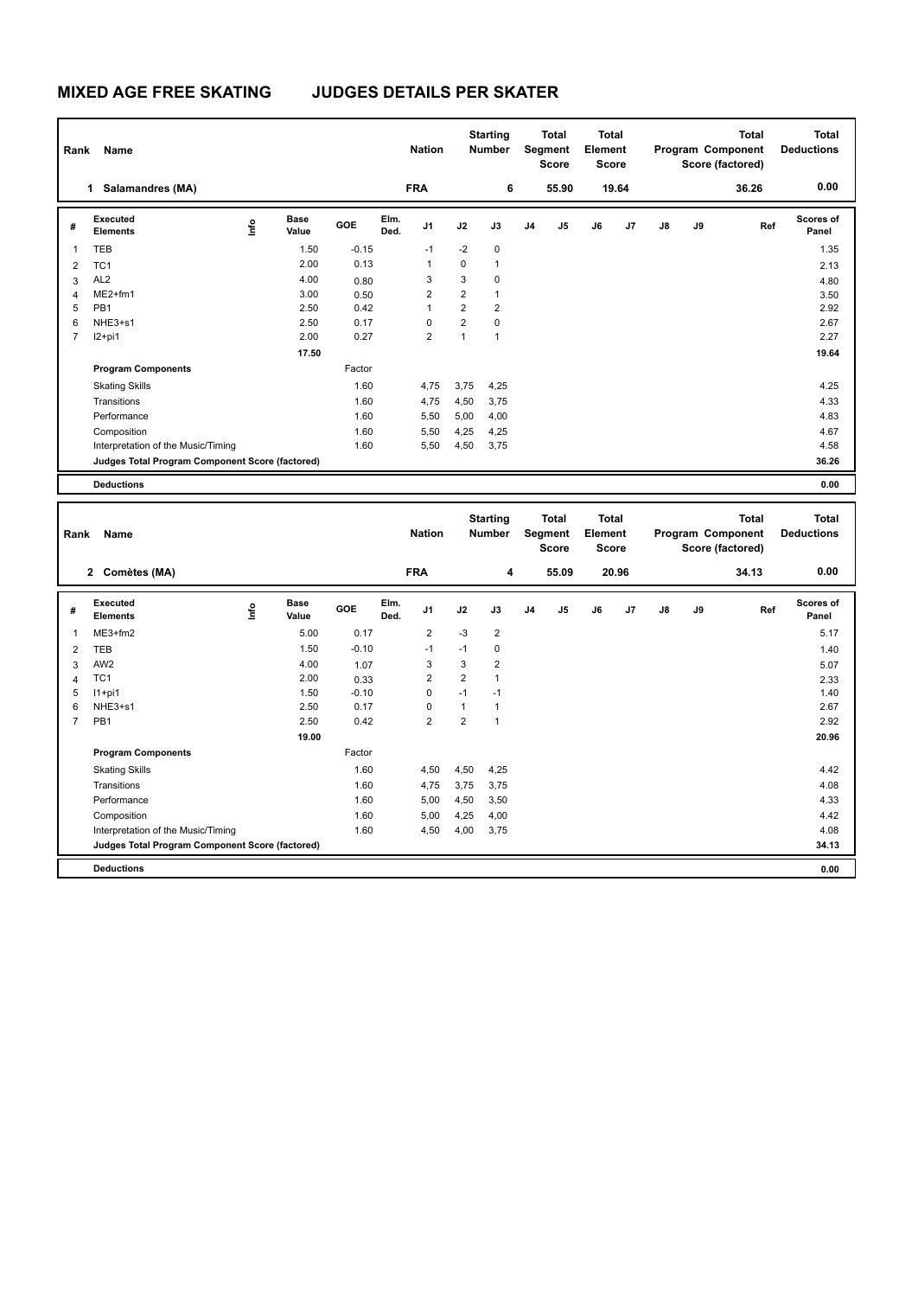# **MIXED AGE FREE SKATING JUDGES DETAILS PER SKATER**

|   | Name<br>Rank                                    |                                  |                      |            |              | <b>Nation</b>           |                | <b>Starting</b><br><b>Number</b> | <b>Total</b><br>Segment<br><b>Score</b> |       | <b>Total</b><br>Element<br><b>Score</b> |       |    |    | <b>Total</b><br>Program Component<br>Score (factored) | Total<br><b>Deductions</b> |
|---|-------------------------------------------------|----------------------------------|----------------------|------------|--------------|-------------------------|----------------|----------------------------------|-----------------------------------------|-------|-----------------------------------------|-------|----|----|-------------------------------------------------------|----------------------------|
|   | <b>Salamandres (MA)</b><br>1                    |                                  |                      |            |              | <b>FRA</b>              |                | 6                                |                                         | 55.90 |                                         | 19.64 |    |    | 36.26                                                 | 0.00                       |
| # | Executed<br><b>Elements</b>                     | $\mathop{\mathsf{Irr}}\nolimits$ | <b>Base</b><br>Value | <b>GOE</b> | Elm.<br>Ded. | J <sub>1</sub>          | J2             | J3                               | J <sub>4</sub>                          | J5    | J6                                      | J7    | J8 | J9 | Ref                                                   | Scores of<br>Panel         |
| 1 | <b>TEB</b>                                      |                                  | 1.50                 | $-0.15$    |              | $-1$                    | $-2$           | 0                                |                                         |       |                                         |       |    |    |                                                       | 1.35                       |
| 2 | TC <sub>1</sub>                                 |                                  | 2.00                 | 0.13       |              | $\mathbf{1}$            | 0              | $\mathbf{1}$                     |                                         |       |                                         |       |    |    |                                                       | 2.13                       |
| 3 | AL <sub>2</sub>                                 |                                  | 4.00                 | 0.80       |              | 3                       | 3              | $\mathbf 0$                      |                                         |       |                                         |       |    |    |                                                       | 4.80                       |
| 4 | $ME2+fm1$                                       |                                  | 3.00                 | 0.50       |              | $\overline{\mathbf{c}}$ | $\overline{2}$ | $\mathbf{1}$                     |                                         |       |                                         |       |    |    |                                                       | 3.50                       |
| 5 | PB <sub>1</sub>                                 |                                  | 2.50                 | 0.42       |              | 1                       | $\overline{2}$ | $\overline{2}$                   |                                         |       |                                         |       |    |    |                                                       | 2.92                       |
| 6 | NHE3+s1                                         |                                  | 2.50                 | 0.17       |              | 0                       | $\overline{2}$ | 0                                |                                         |       |                                         |       |    |    |                                                       | 2.67                       |
| 7 | $12+pi1$                                        |                                  | 2.00                 | 0.27       |              | $\overline{2}$          | 1              | $\mathbf{1}$                     |                                         |       |                                         |       |    |    |                                                       | 2.27                       |
|   |                                                 |                                  | 17.50                |            |              |                         |                |                                  |                                         |       |                                         |       |    |    |                                                       | 19.64                      |
|   | <b>Program Components</b>                       |                                  |                      | Factor     |              |                         |                |                                  |                                         |       |                                         |       |    |    |                                                       |                            |
|   | <b>Skating Skills</b>                           |                                  |                      | 1.60       |              | 4,75                    | 3,75           | 4,25                             |                                         |       |                                         |       |    |    |                                                       | 4.25                       |
|   | Transitions                                     |                                  |                      | 1.60       |              | 4,75                    | 4,50           | 3,75                             |                                         |       |                                         |       |    |    |                                                       | 4.33                       |
|   | Performance                                     |                                  |                      | 1.60       |              | 5,50                    | 5,00           | 4,00                             |                                         |       |                                         |       |    |    |                                                       | 4.83                       |
|   | Composition                                     |                                  |                      | 1.60       |              | 5,50                    | 4,25           | 4,25                             |                                         |       |                                         |       |    |    |                                                       | 4.67                       |
|   | Interpretation of the Music/Timing              |                                  |                      | 1.60       |              | 5,50                    | 4,50           | 3,75                             |                                         |       |                                         |       |    |    |                                                       | 4.58                       |
|   | Judges Total Program Component Score (factored) |                                  |                      |            |              |                         |                |                                  |                                         |       |                                         |       |    |    |                                                       | 36.26                      |
|   | <b>Deductions</b>                               |                                  |                      |            |              |                         |                |                                  |                                         |       |                                         |       |    |    |                                                       | 0.00                       |

|                | Rank<br>Name                                    |      |                      |         |              | <b>Nation</b>  | <b>Starting</b><br><b>Number</b> |                | <b>Total</b><br>Segment<br><b>Score</b> |                | <b>Total</b><br>Element<br><b>Score</b> |                | Program Component |    | <b>Total</b><br>Score (factored) | <b>Total</b><br><b>Deductions</b> |
|----------------|-------------------------------------------------|------|----------------------|---------|--------------|----------------|----------------------------------|----------------|-----------------------------------------|----------------|-----------------------------------------|----------------|-------------------|----|----------------------------------|-----------------------------------|
|                | Comètes (MA)<br>$\mathbf{2}$                    |      |                      |         |              | <b>FRA</b>     |                                  | 4              |                                         | 55.09          |                                         | 20.96          |                   |    | 34.13                            | 0.00                              |
| #              | Executed<br><b>Elements</b>                     | ١nf٥ | <b>Base</b><br>Value | GOE     | Elm.<br>Ded. | J <sub>1</sub> | J2                               | J3             | J <sub>4</sub>                          | J <sub>5</sub> | J6                                      | J <sub>7</sub> | J8                | J9 | Ref                              | Scores of<br>Panel                |
| $\mathbf{1}$   | ME3+fm2                                         |      | 5.00                 | 0.17    |              | $\overline{2}$ | $-3$                             | $\overline{2}$ |                                         |                |                                         |                |                   |    |                                  | 5.17                              |
| $\overline{2}$ | <b>TEB</b>                                      |      | 1.50                 | $-0.10$ |              | $-1$           | $-1$                             | 0              |                                         |                |                                         |                |                   |    |                                  | 1.40                              |
| 3              | AW <sub>2</sub>                                 |      | 4.00                 | 1.07    |              | 3              | 3                                | $\overline{2}$ |                                         |                |                                         |                |                   |    |                                  | 5.07                              |
| $\overline{4}$ | TC <sub>1</sub>                                 |      | 2.00                 | 0.33    |              | $\overline{2}$ | $\overline{2}$                   | 1              |                                         |                |                                         |                |                   |    |                                  | 2.33                              |
| 5              | $11+pi1$                                        |      | 1.50                 | $-0.10$ |              | $\Omega$       | $-1$                             | $-1$           |                                         |                |                                         |                |                   |    |                                  | 1.40                              |
| 6              | NHE3+s1                                         |      | 2.50                 | 0.17    |              | 0              | $\mathbf{1}$                     | $\mathbf{1}$   |                                         |                |                                         |                |                   |    |                                  | 2.67                              |
| $\overline{7}$ | PB <sub>1</sub>                                 |      | 2.50                 | 0.42    |              | $\overline{2}$ | $\overline{2}$                   | 1              |                                         |                |                                         |                |                   |    |                                  | 2.92                              |
|                |                                                 |      | 19.00                |         |              |                |                                  |                |                                         |                |                                         |                |                   |    |                                  | 20.96                             |
|                | <b>Program Components</b>                       |      |                      | Factor  |              |                |                                  |                |                                         |                |                                         |                |                   |    |                                  |                                   |
|                | <b>Skating Skills</b>                           |      |                      | 1.60    |              | 4,50           | 4,50                             | 4,25           |                                         |                |                                         |                |                   |    |                                  | 4.42                              |
|                | Transitions                                     |      |                      | 1.60    |              | 4,75           | 3,75                             | 3,75           |                                         |                |                                         |                |                   |    |                                  | 4.08                              |
|                | Performance                                     |      |                      | 1.60    |              | 5,00           | 4,50                             | 3,50           |                                         |                |                                         |                |                   |    |                                  | 4.33                              |
|                | Composition                                     |      |                      | 1.60    |              | 5,00           | 4,25                             | 4,00           |                                         |                |                                         |                |                   |    |                                  | 4.42                              |
|                | Interpretation of the Music/Timing              |      |                      | 1.60    |              | 4,50           | 4,00                             | 3,75           |                                         |                |                                         |                |                   |    |                                  | 4.08                              |
|                | Judges Total Program Component Score (factored) |      |                      |         |              |                |                                  |                |                                         |                |                                         |                |                   |    |                                  | 34.13                             |
|                | <b>Deductions</b>                               |      |                      |         |              |                |                                  |                |                                         |                |                                         |                |                   |    |                                  | 0.00                              |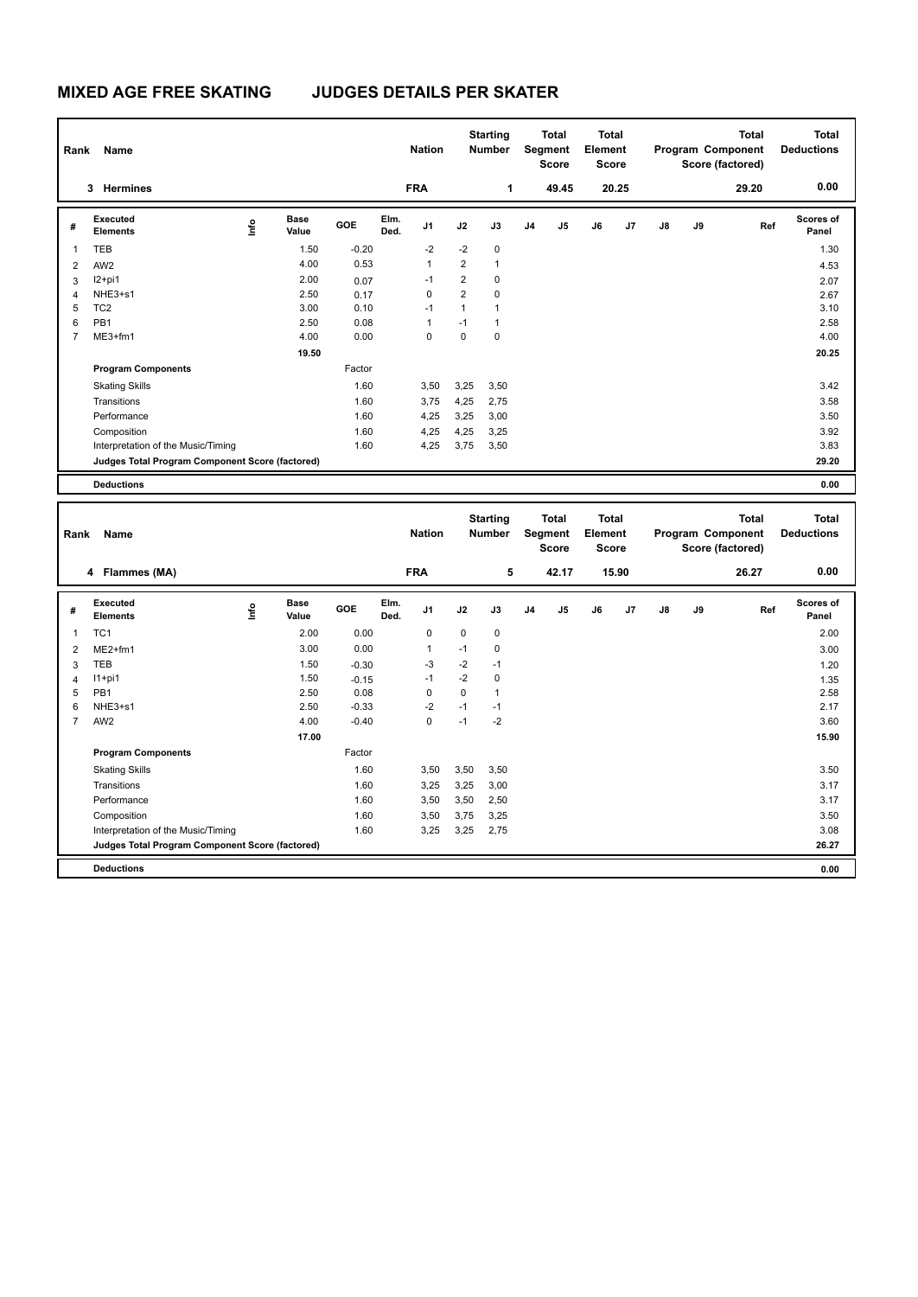# **MIXED AGE FREE SKATING JUDGES DETAILS PER SKATER**

| Rank           | Name                                            |      |                      |         |              | <b>Nation</b>  |                | <b>Starting</b><br><b>Number</b> |                | <b>Total</b><br>Segment<br>Score | <b>Total</b><br>Element<br><b>Score</b> |       |    |    | <b>Total</b><br>Program Component<br>Score (factored) | <b>Total</b><br><b>Deductions</b> |
|----------------|-------------------------------------------------|------|----------------------|---------|--------------|----------------|----------------|----------------------------------|----------------|----------------------------------|-----------------------------------------|-------|----|----|-------------------------------------------------------|-----------------------------------|
|                | Hermines<br>3                                   |      |                      |         |              | <b>FRA</b>     |                | 1                                |                | 49.45                            |                                         | 20.25 |    |    | 29.20                                                 | 0.00                              |
| #              | Executed<br><b>Elements</b>                     | lnfo | <b>Base</b><br>Value | GOE     | Elm.<br>Ded. | J <sub>1</sub> | J2             | J3                               | J <sub>4</sub> | J5                               | J6                                      | J7    | J8 | J9 | Ref                                                   | <b>Scores of</b><br>Panel         |
| 1              | <b>TEB</b>                                      |      | 1.50                 | $-0.20$ |              | $-2$           | $-2$           | 0                                |                |                                  |                                         |       |    |    |                                                       | 1.30                              |
| 2              | AW <sub>2</sub>                                 |      | 4.00                 | 0.53    |              | 1              | $\overline{2}$ | $\mathbf{1}$                     |                |                                  |                                         |       |    |    |                                                       | 4.53                              |
| 3              | $12+pi1$                                        |      | 2.00                 | 0.07    |              | $-1$           | $\overline{2}$ | $\mathbf 0$                      |                |                                  |                                         |       |    |    |                                                       | 2.07                              |
| $\overline{4}$ | NHE3+s1                                         |      | 2.50                 | 0.17    |              | 0              | $\overline{2}$ | $\mathbf 0$                      |                |                                  |                                         |       |    |    |                                                       | 2.67                              |
| 5              | TC <sub>2</sub>                                 |      | 3.00                 | 0.10    |              | $-1$           | $\mathbf{1}$   | 1                                |                |                                  |                                         |       |    |    |                                                       | 3.10                              |
| 6              | PB <sub>1</sub>                                 |      | 2.50                 | 0.08    |              | 1              | $-1$           | 1                                |                |                                  |                                         |       |    |    |                                                       | 2.58                              |
| 7              | ME3+fm1                                         |      | 4.00                 | 0.00    |              | 0              | 0              | 0                                |                |                                  |                                         |       |    |    |                                                       | 4.00                              |
|                |                                                 |      | 19.50                |         |              |                |                |                                  |                |                                  |                                         |       |    |    |                                                       | 20.25                             |
|                | <b>Program Components</b>                       |      |                      | Factor  |              |                |                |                                  |                |                                  |                                         |       |    |    |                                                       |                                   |
|                | <b>Skating Skills</b>                           |      |                      | 1.60    |              | 3,50           | 3,25           | 3,50                             |                |                                  |                                         |       |    |    |                                                       | 3.42                              |
|                | Transitions                                     |      |                      | 1.60    |              | 3,75           | 4,25           | 2,75                             |                |                                  |                                         |       |    |    |                                                       | 3.58                              |
|                | Performance                                     |      |                      | 1.60    |              | 4,25           | 3,25           | 3,00                             |                |                                  |                                         |       |    |    |                                                       | 3.50                              |
|                | Composition                                     |      |                      | 1.60    |              | 4,25           | 4,25           | 3,25                             |                |                                  |                                         |       |    |    |                                                       | 3.92                              |
|                | Interpretation of the Music/Timing              |      |                      | 1.60    |              | 4,25           | 3,75           | 3,50                             |                |                                  |                                         |       |    |    |                                                       | 3.83                              |
|                | Judges Total Program Component Score (factored) |      |                      |         |              |                |                |                                  |                |                                  |                                         |       |    |    |                                                       | 29.20                             |
|                | <b>Deductions</b>                               |      |                      |         |              |                |                |                                  |                |                                  |                                         |       |    |    |                                                       | 0.00                              |

|                | Name<br>Rank                                    |      |                      |         |              | <b>Starting</b><br><b>Nation</b><br><b>Number</b> |          |      | <b>Total</b><br>Segment<br><b>Score</b> |                | <b>Total</b><br>Element<br><b>Score</b> |       | Program Component |    | <b>Total</b><br>Score (factored) | <b>Total</b><br><b>Deductions</b> |
|----------------|-------------------------------------------------|------|----------------------|---------|--------------|---------------------------------------------------|----------|------|-----------------------------------------|----------------|-----------------------------------------|-------|-------------------|----|----------------------------------|-----------------------------------|
|                | 4 Flammes (MA)                                  |      |                      |         |              | <b>FRA</b>                                        |          | 5    |                                         | 42.17          |                                         | 15.90 |                   |    | 26.27                            | 0.00                              |
| #              | Executed<br><b>Elements</b>                     | Info | <b>Base</b><br>Value | GOE     | Elm.<br>Ded. | J <sub>1</sub>                                    | J2       | J3   | J <sub>4</sub>                          | J <sub>5</sub> | J6                                      | J7    | J8                | J9 | Ref                              | <b>Scores of</b><br>Panel         |
| $\mathbf{1}$   | TC <sub>1</sub>                                 |      | 2.00                 | 0.00    |              | 0                                                 | 0        | 0    |                                         |                |                                         |       |                   |    |                                  | 2.00                              |
| $\overline{2}$ | $ME2+fm1$                                       |      | 3.00                 | 0.00    |              | $\overline{1}$                                    | $-1$     | 0    |                                         |                |                                         |       |                   |    |                                  | 3.00                              |
| 3              | TEB                                             |      | 1.50                 | $-0.30$ |              | -3                                                | $-2$     | $-1$ |                                         |                |                                         |       |                   |    |                                  | 1.20                              |
| $\overline{4}$ | $11+pi1$                                        |      | 1.50                 | $-0.15$ |              | $-1$                                              | $-2$     | 0    |                                         |                |                                         |       |                   |    |                                  | 1.35                              |
| 5              | PB <sub>1</sub>                                 |      | 2.50                 | 0.08    |              | $\Omega$                                          | $\Omega$ | 1    |                                         |                |                                         |       |                   |    |                                  | 2.58                              |
| 6              | NHE3+s1                                         |      | 2.50                 | $-0.33$ |              | $-2$                                              | $-1$     | $-1$ |                                         |                |                                         |       |                   |    |                                  | 2.17                              |
| $\overline{7}$ | AW <sub>2</sub>                                 |      | 4.00                 | $-0.40$ |              | 0                                                 | $-1$     | $-2$ |                                         |                |                                         |       |                   |    |                                  | 3.60                              |
|                |                                                 |      | 17.00                |         |              |                                                   |          |      |                                         |                |                                         |       |                   |    |                                  | 15.90                             |
|                | <b>Program Components</b>                       |      |                      | Factor  |              |                                                   |          |      |                                         |                |                                         |       |                   |    |                                  |                                   |
|                | <b>Skating Skills</b>                           |      |                      | 1.60    |              | 3,50                                              | 3,50     | 3,50 |                                         |                |                                         |       |                   |    |                                  | 3.50                              |
|                | Transitions                                     |      |                      | 1.60    |              | 3,25                                              | 3,25     | 3,00 |                                         |                |                                         |       |                   |    |                                  | 3.17                              |
|                | Performance                                     |      |                      | 1.60    |              | 3,50                                              | 3,50     | 2,50 |                                         |                |                                         |       |                   |    |                                  | 3.17                              |
|                | Composition                                     |      |                      | 1.60    |              | 3,50                                              | 3,75     | 3,25 |                                         |                |                                         |       |                   |    |                                  | 3.50                              |
|                | Interpretation of the Music/Timing              |      |                      | 1.60    |              | 3,25                                              | 3,25     | 2,75 |                                         |                |                                         |       |                   |    |                                  | 3.08                              |
|                | Judges Total Program Component Score (factored) |      |                      |         |              |                                                   |          |      |                                         |                |                                         |       |                   |    |                                  | 26.27                             |
|                | <b>Deductions</b>                               |      |                      |         |              |                                                   |          |      |                                         |                |                                         |       |                   |    |                                  | 0.00                              |